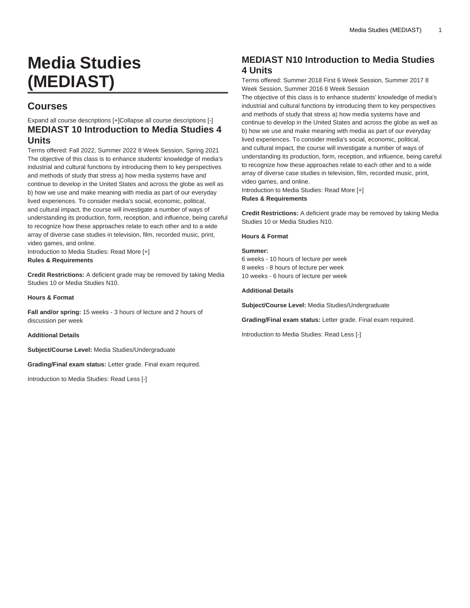# **Media Studies (MEDIAST)**

# **Courses**

Expand all course descriptions [+]Collapse all course descriptions [-] **MEDIAST 10 Introduction to Media Studies 4 Units**

Terms offered: Fall 2022, Summer 2022 8 Week Session, Spring 2021 The objective of this class is to enhance students' knowledge of media's industrial and cultural functions by introducing them to key perspectives and methods of study that stress a) how media systems have and continue to develop in the United States and across the globe as well as b) how we use and make meaning with media as part of our everyday lived experiences. To consider media's social, economic, political, and cultural impact, the course will investigate a number of ways of understanding its production, form, reception, and influence, being careful to recognize how these approaches relate to each other and to a wide array of diverse case studies in television, film, recorded music, print, video games, and online.

Introduction to Media Studies: Read More [+] **Rules & Requirements**

**Credit Restrictions:** A deficient grade may be removed by taking Media Studies 10 or Media Studies N10.

**Hours & Format**

**Fall and/or spring:** 15 weeks - 3 hours of lecture and 2 hours of discussion per week

**Additional Details**

**Subject/Course Level:** Media Studies/Undergraduate

**Grading/Final exam status:** Letter grade. Final exam required.

Introduction to Media Studies: Read Less [-]

# **MEDIAST N10 Introduction to Media Studies 4 Units**

Terms offered: Summer 2018 First 6 Week Session, Summer 2017 8 Week Session, Summer 2016 8 Week Session

The objective of this class is to enhance students' knowledge of media's industrial and cultural functions by introducing them to key perspectives and methods of study that stress a) how media systems have and continue to develop in the United States and across the globe as well as b) how we use and make meaning with media as part of our everyday lived experiences. To consider media's social, economic, political, and cultural impact, the course will investigate a number of ways of understanding its production, form, reception, and influence, being careful to recognize how these approaches relate to each other and to a wide array of diverse case studies in television, film, recorded music, print, video games, and online.

Introduction to Media Studies: Read More [+]

**Rules & Requirements**

**Credit Restrictions:** A deficient grade may be removed by taking Media Studies 10 or Media Studies N10.

#### **Hours & Format**

#### **Summer:**

6 weeks - 10 hours of lecture per week 8 weeks - 8 hours of lecture per week 10 weeks - 6 hours of lecture per week

#### **Additional Details**

**Subject/Course Level:** Media Studies/Undergraduate

**Grading/Final exam status:** Letter grade. Final exam required.

Introduction to Media Studies: Read Less [-]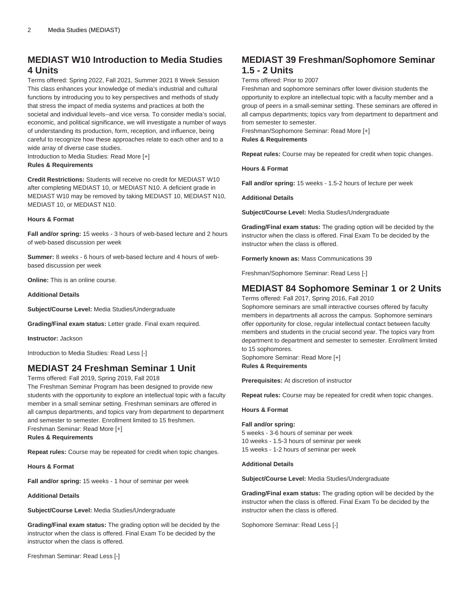# **MEDIAST W10 Introduction to Media Studies 4 Units**

Terms offered: Spring 2022, Fall 2021, Summer 2021 8 Week Session This class enhances your knowledge of media's industrial and cultural functions by introducing you to key perspectives and methods of study that stress the impact of media systems and practices at both the societal and individual levels--and vice versa. To consider media's social, economic, and political significance, we will investigate a number of ways of understanding its production, form, reception, and influence, being careful to recognize how these approaches relate to each other and to a wide array of diverse case studies.

Introduction to Media Studies: Read More [+] **Rules & Requirements**

**Credit Restrictions:** Students will receive no credit for [MEDIAST W10](/search/?P=MEDIAST%20W10) after completing [MEDIAST 10,](/search/?P=MEDIAST%2010) or [MEDIAST N10](/search/?P=MEDIAST%20N10). A deficient grade in [MEDIAST W10](/search/?P=MEDIAST%20W10) may be removed by taking [MEDIAST 10](/search/?P=MEDIAST%2010), [MEDIAST N10](/search/?P=MEDIAST%20N10), [MEDIAST 10,](/search/?P=MEDIAST%2010) or [MEDIAST N10.](/search/?P=MEDIAST%20N10)

#### **Hours & Format**

**Fall and/or spring:** 15 weeks - 3 hours of web-based lecture and 2 hours of web-based discussion per week

**Summer:** 8 weeks - 6 hours of web-based lecture and 4 hours of webbased discussion per week

**Online:** This is an online course.

#### **Additional Details**

**Subject/Course Level:** Media Studies/Undergraduate

**Grading/Final exam status:** Letter grade. Final exam required.

**Instructor:** Jackson

Introduction to Media Studies: Read Less [-]

### **MEDIAST 24 Freshman Seminar 1 Unit**

Terms offered: Fall 2019, Spring 2019, Fall 2018

The Freshman Seminar Program has been designed to provide new students with the opportunity to explore an intellectual topic with a faculty member in a small seminar setting. Freshman seminars are offered in all campus departments, and topics vary from department to department and semester to semester. Enrollment limited to 15 freshmen. Freshman Seminar: Read More [+] **Rules & Requirements**

**Repeat rules:** Course may be repeated for credit when topic changes.

**Hours & Format**

**Fall and/or spring:** 15 weeks - 1 hour of seminar per week

**Additional Details**

**Subject/Course Level:** Media Studies/Undergraduate

**Grading/Final exam status:** The grading option will be decided by the instructor when the class is offered. Final Exam To be decided by the instructor when the class is offered.

Freshman Seminar: Read Less [-]

# **MEDIAST 39 Freshman/Sophomore Seminar 1.5 - 2 Units**

Terms offered: Prior to 2007

Freshman and sophomore seminars offer lower division students the opportunity to explore an intellectual topic with a faculty member and a group of peers in a small-seminar setting. These seminars are offered in all campus departments; topics vary from department to department and from semester to semester.

Freshman/Sophomore Seminar: Read More [+] **Rules & Requirements**

**Repeat rules:** Course may be repeated for credit when topic changes.

**Hours & Format**

**Fall and/or spring:** 15 weeks - 1.5-2 hours of lecture per week

**Additional Details**

**Subject/Course Level:** Media Studies/Undergraduate

**Grading/Final exam status:** The grading option will be decided by the instructor when the class is offered. Final Exam To be decided by the instructor when the class is offered.

**Formerly known as:** Mass Communications 39

Freshman/Sophomore Seminar: Read Less [-]

### **MEDIAST 84 Sophomore Seminar 1 or 2 Units**

Terms offered: Fall 2017, Spring 2016, Fall 2010

Sophomore seminars are small interactive courses offered by faculty members in departments all across the campus. Sophomore seminars offer opportunity for close, regular intellectual contact between faculty members and students in the crucial second year. The topics vary from department to department and semester to semester. Enrollment limited to 15 sophomores.

Sophomore Seminar: Read More [+] **Rules & Requirements**

**Prerequisites:** At discretion of instructor

**Repeat rules:** Course may be repeated for credit when topic changes.

#### **Hours & Format**

#### **Fall and/or spring:**

5 weeks - 3-6 hours of seminar per week 10 weeks - 1.5-3 hours of seminar per week 15 weeks - 1-2 hours of seminar per week

#### **Additional Details**

**Subject/Course Level:** Media Studies/Undergraduate

**Grading/Final exam status:** The grading option will be decided by the instructor when the class is offered. Final Exam To be decided by the instructor when the class is offered.

Sophomore Seminar: Read Less [-]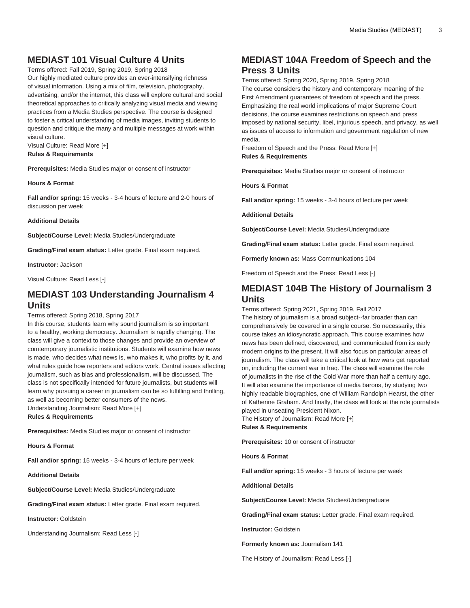# **MEDIAST 101 Visual Culture 4 Units**

Terms offered: Fall 2019, Spring 2019, Spring 2018 Our highly mediated culture provides an ever-intensifying richness of visual information. Using a mix of film, television, photography, advertising, and/or the internet, this class will explore cultural and social theoretical approaches to critically analyzing visual media and viewing practices from a Media Studies perspective. The course is designed to foster a critical understanding of media images, inviting students to question and critique the many and multiple messages at work within visual culture.

Visual Culture: Read More [+] **Rules & Requirements**

**Prerequisites:** Media Studies major or consent of instructor

#### **Hours & Format**

**Fall and/or spring:** 15 weeks - 3-4 hours of lecture and 2-0 hours of discussion per week

#### **Additional Details**

**Subject/Course Level:** Media Studies/Undergraduate

**Grading/Final exam status:** Letter grade. Final exam required.

#### **Instructor:** Jackson

Visual Culture: Read Less [-]

### **MEDIAST 103 Understanding Journalism 4 Units**

#### Terms offered: Spring 2018, Spring 2017

In this course, students learn why sound journalism is so important to a healthy, working democracy. Journalism is rapidly changing. The class will give a context to those changes and provide an overview of comtemporary journalistic institutions. Students will examine how news is made, who decides what news is, who makes it, who profits by it, and what rules guide how reporters and editors work. Central issues affecting journalism, such as bias and professionalism, will be discussed. The class is not specifically intended for future journalists, but students will learn why pursuing a career in journalism can be so fulfilling and thrilling, as well as becoming better consumers of the news.

Understanding Journalism: Read More [+] **Rules & Requirements**

**Prerequisites:** Media Studies major or consent of instructor

**Hours & Format**

**Fall and/or spring:** 15 weeks - 3-4 hours of lecture per week

**Additional Details**

**Subject/Course Level:** Media Studies/Undergraduate

**Grading/Final exam status:** Letter grade. Final exam required.

**Instructor:** Goldstein

Understanding Journalism: Read Less [-]

### **MEDIAST 104A Freedom of Speech and the Press 3 Units**

Terms offered: Spring 2020, Spring 2019, Spring 2018 The course considers the history and contemporary meaning of the First Amendment guarantees of freedom of speech and the press. Emphasizing the real world implications of major Supreme Court decisions, the course examines restrictions on speech and press imposed by national security, libel, injurious speech, and privacy, as well as issues of access to information and government regulation of new media.

Freedom of Speech and the Press: Read More [+] **Rules & Requirements**

**Prerequisites:** Media Studies major or consent of instructor

**Hours & Format**

**Fall and/or spring:** 15 weeks - 3-4 hours of lecture per week

**Additional Details**

**Subject/Course Level:** Media Studies/Undergraduate

**Grading/Final exam status:** Letter grade. Final exam required.

**Formerly known as:** Mass Communications 104

Freedom of Speech and the Press: Read Less [-]

### **MEDIAST 104B The History of Journalism 3 Units**

Terms offered: Spring 2021, Spring 2019, Fall 2017

The history of journalism is a broad subject--far broader than can comprehensively be covered in a single course. So necessarily, this course takes an idiosyncratic approach. This course examines how news has been defined, discovered, and communicated from its early modern origins to the present. It will also focus on particular areas of journalism. The class will take a critical look at how wars get reported on, including the current war in Iraq. The class will examine the role of journalists in the rise of the Cold War more than half a century ago. It will also examine the importance of media barons, by studying two highly readable biographies, one of William Randolph Hearst, the other of Katherine Graham. And finally, the class will look at the role journalists played in unseating President Nixon.

The History of Journalism: Read More [+] **Rules & Requirements**

**Prerequisites:** 10 or consent of instructor

**Hours & Format**

**Fall and/or spring:** 15 weeks - 3 hours of lecture per week

**Additional Details**

**Subject/Course Level:** Media Studies/Undergraduate

**Grading/Final exam status:** Letter grade. Final exam required.

**Instructor:** Goldstein

**Formerly known as:** Journalism 141

The History of Journalism: Read Less [-]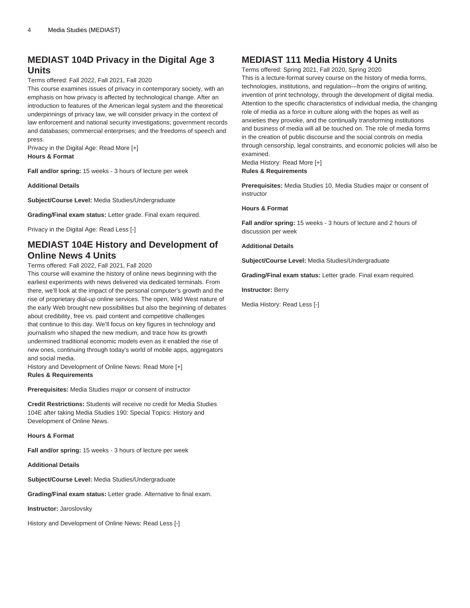# **MEDIAST 104D Privacy in the Digital Age 3 Units**

#### Terms offered: Fall 2022, Fall 2021, Fall 2020

This course examines issues of privacy in contemporary society, with an emphasis on how privacy is affected by technological change. After an introduction to features of the American legal system and the theoretical underpinnings of privacy law, we will consider privacy in the context of law enforcement and national security investigations; government records and databases; commercial enterprises; and the freedoms of speech and press.

Privacy in the Digital Age: Read More [+] **Hours & Format**

**Fall and/or spring:** 15 weeks - 3 hours of lecture per week

**Additional Details**

**Subject/Course Level:** Media Studies/Undergraduate

**Grading/Final exam status:** Letter grade. Final exam required.

Privacy in the Digital Age: Read Less [-]

### **MEDIAST 104E History and Development of Online News 4 Units**

#### Terms offered: Fall 2022, Fall 2021, Fall 2020

This course will examine the history of online news beginning with the earliest experiments with news delivered via dedicated terminals. From there, we'll look at the impact of the personal computer's growth and the rise of proprietary dial-up online services. The open, Wild West nature of the early Web brought new possibilities but also the beginning of debates about credibility, free vs. paid content and competitive challenges that continue to this day. We'll focus on key figures in technology and journalism who shaped the new medium, and trace how its growth undermined traditional economic models even as it enabled the rise of new ones, continuing through today's world of mobile apps, aggregators and social media.

History and Development of Online News: Read More [+] **Rules & Requirements**

**Prerequisites:** Media Studies major or consent of instructor

**Credit Restrictions:** Students will receive no credit for Media Studies 104E after taking Media Studies 190: Special Topics: History and Development of Online News.

**Hours & Format**

**Fall and/or spring:** 15 weeks - 3 hours of lecture per week

#### **Additional Details**

**Subject/Course Level:** Media Studies/Undergraduate

**Grading/Final exam status:** Letter grade. Alternative to final exam.

**Instructor:** Jaroslovsky

History and Development of Online News: Read Less [-]

### **MEDIAST 111 Media History 4 Units**

Terms offered: Spring 2021, Fall 2020, Spring 2020 This is a lecture-format survey course on the history of media forms, technologies, institutions, and regulation—from the origins of writing, invention of print technology, through the development of digital media. Attention to the specific characteristics of individual media, the changing role of media as a force in culture along with the hopes as well as anxieties they provoke, and the continually transforming institutions and business of media will all be touched on. The role of media forms in the creation of public discourse and the social controls on media through censorship, legal constraints, and economic policies will also be examined.

Media History: Read More [+] **Rules & Requirements**

**Prerequisites:** Media Studies 10, Media Studies major or consent of instructor

**Hours & Format**

**Fall and/or spring:** 15 weeks - 3 hours of lecture and 2 hours of discussion per week

**Additional Details**

**Subject/Course Level:** Media Studies/Undergraduate

**Grading/Final exam status:** Letter grade. Final exam required.

**Instructor:** Berry

Media History: Read Less [-]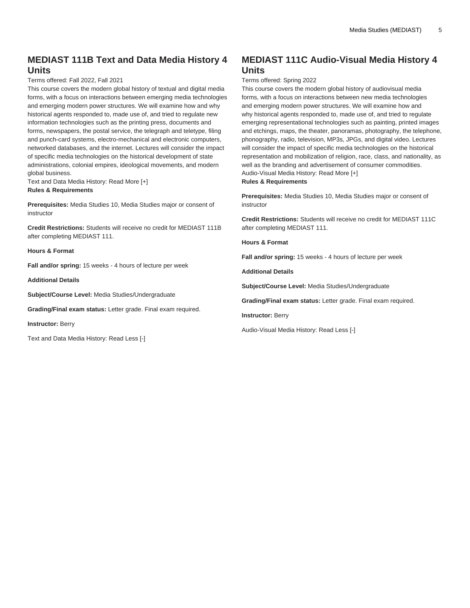# **MEDIAST 111B Text and Data Media History 4 Units**

#### Terms offered: Fall 2022, Fall 2021

This course covers the modern global history of textual and digital media forms, with a focus on interactions between emerging media technologies and emerging modern power structures. We will examine how and why historical agents responded to, made use of, and tried to regulate new information technologies such as the printing press, documents and forms, newspapers, the postal service, the telegraph and teletype, filing and punch-card systems, electro-mechanical and electronic computers, networked databases, and the internet. Lectures will consider the impact of specific media technologies on the historical development of state administrations, colonial empires, ideological movements, and modern global business.

Text and Data Media History: Read More [+] **Rules & Requirements**

**Prerequisites:** Media Studies 10, Media Studies major or consent of instructor

**Credit Restrictions:** Students will receive no credit for [MEDIAST 111B](/search/?P=MEDIAST%20111B) after completing [MEDIAST 111](/search/?P=MEDIAST%20111).

**Hours & Format**

**Fall and/or spring:** 15 weeks - 4 hours of lecture per week

**Additional Details**

**Subject/Course Level:** Media Studies/Undergraduate

**Grading/Final exam status:** Letter grade. Final exam required.

**Instructor:** Berry

Text and Data Media History: Read Less [-]

# **MEDIAST 111C Audio-Visual Media History 4 Units**

#### Terms offered: Spring 2022

This course covers the modern global history of audiovisual media forms, with a focus on interactions between new media technologies and emerging modern power structures. We will examine how and why historical agents responded to, made use of, and tried to regulate emerging representational technologies such as painting, printed images and etchings, maps, the theater, panoramas, photography, the telephone, phonography, radio, television, MP3s, JPGs, and digital video. Lectures will consider the impact of specific media technologies on the historical representation and mobilization of religion, race, class, and nationality, as well as the branding and advertisement of consumer commodities. Audio-Visual Media History: Read More [+] **Rules & Requirements**

**Prerequisites:** Media Studies 10, Media Studies major or consent of instructor

**Credit Restrictions:** Students will receive no credit for [MEDIAST 111C](/search/?P=MEDIAST%20111C) after completing [MEDIAST 111](/search/?P=MEDIAST%20111).

**Hours & Format**

**Fall and/or spring:** 15 weeks - 4 hours of lecture per week

**Additional Details**

**Subject/Course Level:** Media Studies/Undergraduate

**Grading/Final exam status:** Letter grade. Final exam required.

**Instructor:** Berry

Audio-Visual Media History: Read Less [-]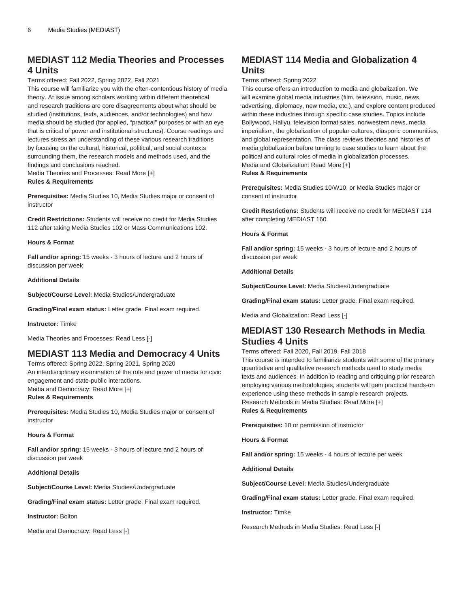### **MEDIAST 112 Media Theories and Processes 4 Units**

#### Terms offered: Fall 2022, Spring 2022, Fall 2021

This course will familiarize you with the often-contentious history of media theory. At issue among scholars working within different theoretical and research traditions are core disagreements about what should be studied (institutions, texts, audiences, and/or technologies) and how media should be studied (for applied, "practical" purposes or with an eye that is critical of power and institutional structures). Course readings and lectures stress an understanding of these various research traditions by focusing on the cultural, historical, political, and social contexts surrounding them, the research models and methods used, and the findings and conclusions reached.

Media Theories and Processes: Read More [+] **Rules & Requirements**

**Prerequisites:** Media Studies 10, Media Studies major or consent of instructor

**Credit Restrictions:** Students will receive no credit for Media Studies 112 after taking Media Studies 102 or Mass Communications 102.

#### **Hours & Format**

**Fall and/or spring:** 15 weeks - 3 hours of lecture and 2 hours of discussion per week

#### **Additional Details**

**Subject/Course Level:** Media Studies/Undergraduate

**Grading/Final exam status:** Letter grade. Final exam required.

**Instructor:** Timke

Media Theories and Processes: Read Less [-]

# **MEDIAST 113 Media and Democracy 4 Units**

Terms offered: Spring 2022, Spring 2021, Spring 2020 An interdisciplinary examination of the role and power of media for civic engagement and state-public interactions. Media and Democracy: Read More [+]

**Rules & Requirements**

**Prerequisites:** Media Studies 10, Media Studies major or consent of instructor

#### **Hours & Format**

**Fall and/or spring:** 15 weeks - 3 hours of lecture and 2 hours of discussion per week

#### **Additional Details**

**Subject/Course Level:** Media Studies/Undergraduate

**Grading/Final exam status:** Letter grade. Final exam required.

**Instructor:** Bolton

Media and Democracy: Read Less [-]

### **MEDIAST 114 Media and Globalization 4 Units**

#### Terms offered: Spring 2022

This course offers an introduction to media and globalization. We will examine global media industries (film, television, music, news, advertising, diplomacy, new media, etc.), and explore content produced within these industries through specific case studies. Topics include Bollywood, Hallyu, television format sales, nonwestern news, media imperialism, the globalization of popular cultures, diasporic communities, and global representation. The class reviews theories and histories of media globalization before turning to case studies to learn about the political and cultural roles of media in globalization processes. Media and Globalization: Read More [+]

#### **Rules & Requirements**

**Prerequisites:** Media Studies 10/W10, or Media Studies major or consent of instructor

**Credit Restrictions:** Students will receive no credit for [MEDIAST 114](/search/?P=MEDIAST%20114) after completing [MEDIAST 160](/search/?P=MEDIAST%20160).

#### **Hours & Format**

**Fall and/or spring:** 15 weeks - 3 hours of lecture and 2 hours of discussion per week

#### **Additional Details**

**Subject/Course Level:** Media Studies/Undergraduate

**Grading/Final exam status:** Letter grade. Final exam required.

Media and Globalization: Read Less [-]

### **MEDIAST 130 Research Methods in Media Studies 4 Units**

#### Terms offered: Fall 2020, Fall 2019, Fall 2018

This course is intended to familiarize students with some of the primary quantitative and qualitative research methods used to study media texts and audiences. In addition to reading and critiquing prior research employing various methodologies, students will gain practical hands-on experience using these methods in sample research projects. Research Methods in Media Studies: Read More [+] **Rules & Requirements**

**Prerequisites:** 10 or permission of instructor

**Hours & Format**

**Fall and/or spring:** 15 weeks - 4 hours of lecture per week

**Additional Details**

**Subject/Course Level:** Media Studies/Undergraduate

**Grading/Final exam status:** Letter grade. Final exam required.

**Instructor:** Timke

Research Methods in Media Studies: Read Less [-]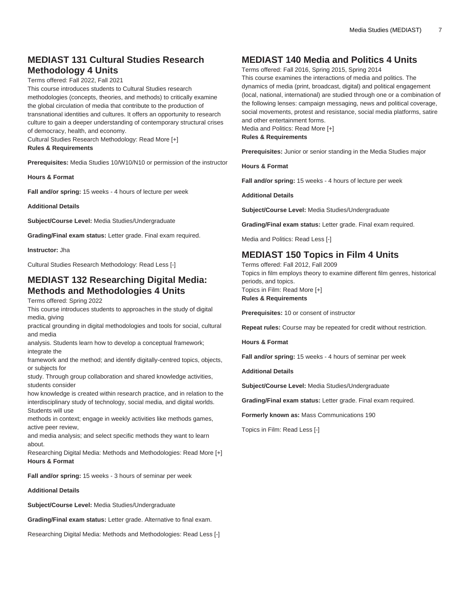# **MEDIAST 131 Cultural Studies Research Methodology 4 Units**

Terms offered: Fall 2022, Fall 2021

This course introduces students to Cultural Studies research methodologies (concepts, theories, and methods) to critically examine the global circulation of media that contribute to the production of transnational identities and cultures. It offers an opportunity to research culture to gain a deeper understanding of contemporary structural crises of democracy, health, and economy.

Cultural Studies Research Methodology: Read More [+]

#### **Rules & Requirements**

**Prerequisites:** Media Studies 10/W10/N10 or permission of the instructor

**Hours & Format**

**Fall and/or spring:** 15 weeks - 4 hours of lecture per week

**Additional Details**

**Subject/Course Level:** Media Studies/Undergraduate

**Grading/Final exam status:** Letter grade. Final exam required.

**Instructor:** Jha

Cultural Studies Research Methodology: Read Less [-]

### **MEDIAST 132 Researching Digital Media: Methods and Methodologies 4 Units**

#### Terms offered: Spring 2022

This course introduces students to approaches in the study of digital media, giving

practical grounding in digital methodologies and tools for social, cultural and media

analysis. Students learn how to develop a conceptual framework; integrate the

framework and the method; and identify digitally-centred topics, objects, or subjects for

study. Through group collaboration and shared knowledge activities, students consider

how knowledge is created within research practice, and in relation to the interdisciplinary study of technology, social media, and digital worlds. Students will use

methods in context; engage in weekly activities like methods games, active peer review,

and media analysis; and select specific methods they want to learn about.

Researching Digital Media: Methods and Methodologies: Read More [+] **Hours & Format**

**Fall and/or spring:** 15 weeks - 3 hours of seminar per week

#### **Additional Details**

**Subject/Course Level:** Media Studies/Undergraduate

**Grading/Final exam status:** Letter grade. Alternative to final exam.

Researching Digital Media: Methods and Methodologies: Read Less [-]

### **MEDIAST 140 Media and Politics 4 Units**

Terms offered: Fall 2016, Spring 2015, Spring 2014

This course examines the interactions of media and politics. The dynamics of media (print, broadcast, digital) and political engagement (local, national, international) are studied through one or a combination of the following lenses: campaign messaging, news and political coverage, social movements, protest and resistance, social media platforms, satire and other entertainment forms.

Media and Politics: Read More [+]

**Rules & Requirements**

**Prerequisites:** Junior or senior standing in the Media Studies major

**Hours & Format**

**Fall and/or spring:** 15 weeks - 4 hours of lecture per week

**Additional Details**

**Subject/Course Level:** Media Studies/Undergraduate

**Grading/Final exam status:** Letter grade. Final exam required.

Media and Politics: Read Less [-]

### **MEDIAST 150 Topics in Film 4 Units**

Terms offered: Fall 2012, Fall 2009 Topics in film employs theory to examine different film genres, historical periods, and topics. Topics in Film: Read More [+] **Rules & Requirements**

**Prerequisites:** 10 or consent of instructor

**Repeat rules:** Course may be repeated for credit without restriction.

**Hours & Format**

**Fall and/or spring:** 15 weeks - 4 hours of seminar per week

**Additional Details**

**Subject/Course Level:** Media Studies/Undergraduate

**Grading/Final exam status:** Letter grade. Final exam required.

**Formerly known as:** Mass Communications 190

Topics in Film: Read Less [-]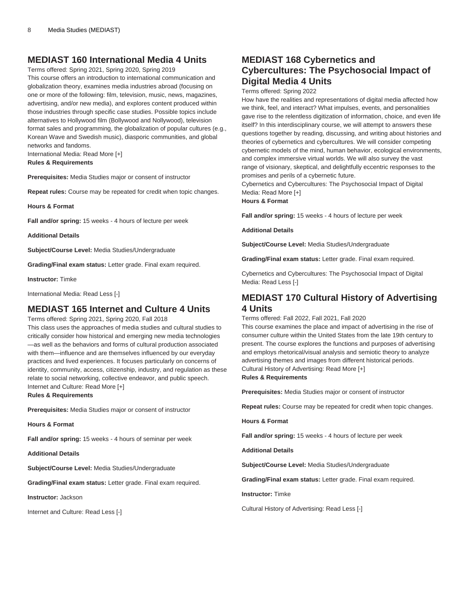### **MEDIAST 160 International Media 4 Units**

Terms offered: Spring 2021, Spring 2020, Spring 2019 This course offers an introduction to international communication and globalization theory, examines media industries abroad (focusing on one or more of the following: film, television, music, news, magazines, advertising, and/or new media), and explores content produced within those industries through specific case studies. Possible topics include alternatives to Hollywood film (Bollywood and Nollywood), television format sales and programming, the globalization of popular cultures (e.g., Korean Wave and Swedish music), diasporic communities, and global networks and fandoms.

International Media: Read More [+]

#### **Rules & Requirements**

**Prerequisites:** Media Studies major or consent of instructor

**Repeat rules:** Course may be repeated for credit when topic changes.

**Hours & Format**

**Fall and/or spring:** 15 weeks - 4 hours of lecture per week

**Additional Details**

**Subject/Course Level:** Media Studies/Undergraduate

**Grading/Final exam status:** Letter grade. Final exam required.

**Instructor:** Timke

International Media: Read Less [-]

### **MEDIAST 165 Internet and Culture 4 Units**

Terms offered: Spring 2021, Spring 2020, Fall 2018

This class uses the approaches of media studies and cultural studies to critically consider how historical and emerging new media technologies —as well as the behaviors and forms of cultural production associated with them—influence and are themselves influenced by our everyday practices and lived experiences. It focuses particularly on concerns of identity, community, access, citizenship, industry, and regulation as these relate to social networking, collective endeavor, and public speech. Internet and Culture: Read More [+]

**Rules & Requirements**

**Prerequisites:** Media Studies major or consent of instructor

**Hours & Format**

**Fall and/or spring:** 15 weeks - 4 hours of seminar per week

**Additional Details**

**Subject/Course Level:** Media Studies/Undergraduate

**Grading/Final exam status:** Letter grade. Final exam required.

**Instructor:** Jackson

Internet and Culture: Read Less [-]

# **MEDIAST 168 Cybernetics and Cybercultures: The Psychosocial Impact of Digital Media 4 Units**

Terms offered: Spring 2022

How have the realities and representations of digital media affected how we think, feel, and interact? What impulses, events, and personalities gave rise to the relentless digitization of information, choice, and even life itself? In this interdisciplinary course, we will attempt to answers these questions together by reading, discussing, and writing about histories and theories of cybernetics and cybercultures. We will consider competing cybernetic models of the mind, human behavior, ecological environments, and complex immersive virtual worlds. We will also survey the vast range of visionary, skeptical, and delightfully eccentric responses to the promises and perils of a cybernetic future.

Cybernetics and Cybercultures: The Psychosocial Impact of Digital Media: Read More [+]

**Hours & Format**

**Fall and/or spring:** 15 weeks - 4 hours of lecture per week

**Additional Details**

**Subject/Course Level:** Media Studies/Undergraduate

**Grading/Final exam status:** Letter grade. Final exam required.

Cybernetics and Cybercultures: The Psychosocial Impact of Digital Media: Read Less [-]

# **MEDIAST 170 Cultural History of Advertising 4 Units**

Terms offered: Fall 2022, Fall 2021, Fall 2020

This course examines the place and impact of advertising in the rise of consumer culture within the United States from the late 19th century to present. The course explores the functions and purposes of advertising and employs rhetorical/visual analysis and semiotic theory to analyze advertising themes and images from different historical periods. Cultural History of Advertising: Read More [+] **Rules & Requirements**

**Prerequisites:** Media Studies major or consent of instructor

**Repeat rules:** Course may be repeated for credit when topic changes.

**Hours & Format**

**Fall and/or spring:** 15 weeks - 4 hours of lecture per week

**Additional Details**

**Subject/Course Level:** Media Studies/Undergraduate

**Grading/Final exam status:** Letter grade. Final exam required.

**Instructor:** Timke

Cultural History of Advertising: Read Less [-]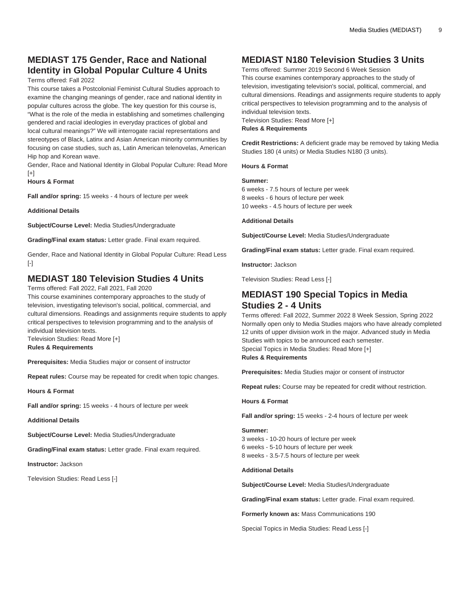# **MEDIAST 175 Gender, Race and National Identity in Global Popular Culture 4 Units**

#### Terms offered: Fall 2022

This course takes a Postcolonial Feminist Cultural Studies approach to examine the changing meanings of gender, race and national identity in popular cultures across the globe. The key question for this course is, "What is the role of the media in establishing and sometimes challenging gendered and racial ideologies in everyday practices of global and local cultural meanings?" We will interrogate racial representations and stereotypes of Black, Latinx and Asian American minority communities by focusing on case studies, such as, Latin American telenovelas, American Hip hop and Korean wave.

Gender, Race and National Identity in Global Popular Culture: Read More  $[+]$ 

**Hours & Format**

**Fall and/or spring:** 15 weeks - 4 hours of lecture per week

#### **Additional Details**

**Subject/Course Level:** Media Studies/Undergraduate

**Grading/Final exam status:** Letter grade. Final exam required.

Gender, Race and National Identity in Global Popular Culture: Read Less [-]

# **MEDIAST 180 Television Studies 4 Units**

Terms offered: Fall 2022, Fall 2021, Fall 2020

This course examinines contemporary approaches to the study of television, investigating televison's social, political, commercial, and cultural dimensions. Readings and assignments require students to apply critical perspectives to television programming and to the analysis of individual television texts.

Television Studies: Read More [+]

### **Rules & Requirements**

**Prerequisites:** Media Studies major or consent of instructor

**Repeat rules:** Course may be repeated for credit when topic changes.

**Hours & Format**

**Fall and/or spring:** 15 weeks - 4 hours of lecture per week

**Additional Details**

**Subject/Course Level:** Media Studies/Undergraduate

**Grading/Final exam status:** Letter grade. Final exam required.

**Instructor:** Jackson

Television Studies: Read Less [-]

# **MEDIAST N180 Television Studies 3 Units**

Terms offered: Summer 2019 Second 6 Week Session This course examines contemporary approaches to the study of television, investigating television's social, political, commercial, and cultural dimensions. Readings and assignments require students to apply critical perspectives to television programming and to the analysis of individual television texts.

Television Studies: Read More [+] **Rules & Requirements**

**Credit Restrictions:** A deficient grade may be removed by taking Media Studies 180 (4 units) or Media Studies N180 (3 units).

#### **Hours & Format**

#### **Summer:**

6 weeks - 7.5 hours of lecture per week 8 weeks - 6 hours of lecture per week 10 weeks - 4.5 hours of lecture per week

**Additional Details**

**Subject/Course Level:** Media Studies/Undergraduate

**Grading/Final exam status:** Letter grade. Final exam required.

**Instructor:** Jackson

Television Studies: Read Less [-]

### **MEDIAST 190 Special Topics in Media Studies 2 - 4 Units**

Terms offered: Fall 2022, Summer 2022 8 Week Session, Spring 2022 Normally open only to Media Studies majors who have already completed 12 units of upper division work in the major. Advanced study in Media Studies with topics to be announced each semester. Special Topics in Media Studies: Read More [+] **Rules & Requirements**

**Prerequisites:** Media Studies major or consent of instructor

**Repeat rules:** Course may be repeated for credit without restriction.

#### **Hours & Format**

**Fall and/or spring:** 15 weeks - 2-4 hours of lecture per week

#### **Summer:**

3 weeks - 10-20 hours of lecture per week 6 weeks - 5-10 hours of lecture per week 8 weeks - 3.5-7.5 hours of lecture per week

#### **Additional Details**

**Subject/Course Level:** Media Studies/Undergraduate

**Grading/Final exam status:** Letter grade. Final exam required.

**Formerly known as:** Mass Communications 190

Special Topics in Media Studies: Read Less [-]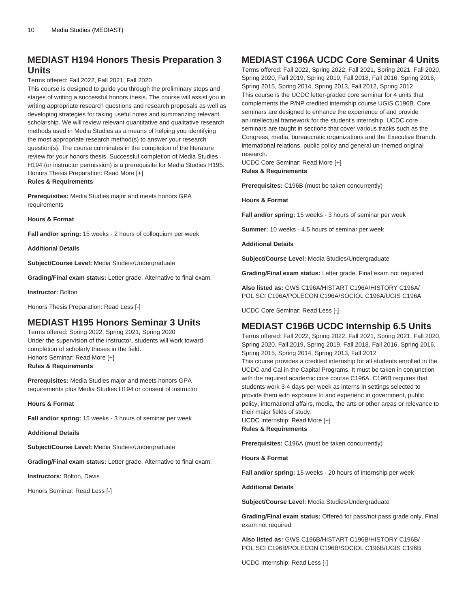### **MEDIAST H194 Honors Thesis Preparation 3 Units**

#### Terms offered: Fall 2022, Fall 2021, Fall 2020

This course is designed to guide you through the preliminary steps and stages of writing a successful honors thesis. The course will assist you in writing appropriate research questions and research proposals as well as developing strategies for taking useful notes and summarizing relevant scholarship. We will review relevant quantitative and qualitative research methods used in Media Studies as a means of helping you identifying the most appropriate research method(s) to answer your research question(s). The course culminates in the completion of the literature review for your honors thesis. Successful completion of Media Studies H194 (or instructor permission) is a prerequisite for Media Studies H195. Honors Thesis Preparation: Read More [+] **Rules & Requirements**

**Prerequisites:** Media Studies major and meets honors GPA

**Hours & Format**

requirements

**Fall and/or spring:** 15 weeks - 2 hours of colloquium per week

**Additional Details**

**Subject/Course Level:** Media Studies/Undergraduate

**Grading/Final exam status:** Letter grade. Alternative to final exam.

**Instructor:** Bolton

Honors Thesis Preparation: Read Less [-]

### **MEDIAST H195 Honors Seminar 3 Units**

Terms offered: Spring 2022, Spring 2021, Spring 2020 Under the supervision of the instructor, students will work toward completion of scholarly theses in the field. Honors Seminar: Read More [+] **Rules & Requirements**

**Prerequisites:** Media Studies major and meets honors GPA requirements plus Media Studies H194 or consent of instructor

**Hours & Format**

**Fall and/or spring:** 15 weeks - 3 hours of seminar per week

**Additional Details**

**Subject/Course Level:** Media Studies/Undergraduate

**Grading/Final exam status:** Letter grade. Alternative to final exam.

**Instructors:** Bolton, Davis

Honors Seminar: Read Less [-]

### **MEDIAST C196A UCDC Core Seminar 4 Units**

Terms offered: Fall 2022, Spring 2022, Fall 2021, Spring 2021, Fall 2020, Spring 2020, Fall 2019, Spring 2019, Fall 2018, Fall 2016, Spring 2016, Spring 2015, Spring 2014, Spring 2013, Fall 2012, Spring 2012 This course is the UCDC letter-graded core seminar for 4 units that complements the P/NP credited internship course [UGIS C196B](/search/?P=UGIS%20C196B). Core seminars are designed to enhance the experience of and provide an intellectual framework for the student's internship. UCDC core seminars are taught in sections that cover various tracks such as the Congress, media, bureaucratic organizations and the Executive Branch, international relations, public policy and general un-themed original research.

UCDC Core Seminar: Read More [+] **Rules & Requirements**

**Prerequisites:** C196B (must be taken concurrently)

**Hours & Format**

**Fall and/or spring:** 15 weeks - 3 hours of seminar per week

**Summer:** 10 weeks - 4.5 hours of seminar per week

**Additional Details**

**Subject/Course Level:** Media Studies/Undergraduate

**Grading/Final exam status:** Letter grade. Final exam not required.

**Also listed as:** GWS C196A/HISTART C196A/HISTORY C196A/ POL SCI C196A/POLECON C196A/SOCIOL C196A/UGIS C196A

UCDC Core Seminar: Read Less [-]

### **MEDIAST C196B UCDC Internship 6.5 Units**

Terms offered: Fall 2022, Spring 2022, Fall 2021, Spring 2021, Fall 2020, Spring 2020, Fall 2019, Spring 2019, Fall 2018, Fall 2016, Spring 2016, Spring 2015, Spring 2014, Spring 2013, Fall 2012

This course provides a credited internship for all students enrolled in the UCDC and Cal in the Capital Programs. It must be taken in conjunction with the required academic core course C196A. C196B requires that students work 3-4 days per week as interns in settings selected to provide them with exposure to and experienc in government, public policy, international affairs, media, the arts or other areas or relevance to their major fields of study.

UCDC Internship: Read More [+] **Rules & Requirements**

**Prerequisites:** C196A (must be taken concurrently)

**Hours & Format**

**Fall and/or spring:** 15 weeks - 20 hours of internship per week

**Additional Details**

**Subject/Course Level:** Media Studies/Undergraduate

**Grading/Final exam status:** Offered for pass/not pass grade only. Final exam not required.

**Also listed as:** GWS C196B/HISTART C196B/HISTORY C196B/ POL SCI C196B/POLECON C196B/SOCIOL C196B/UGIS C196B

UCDC Internship: Read Less [-]